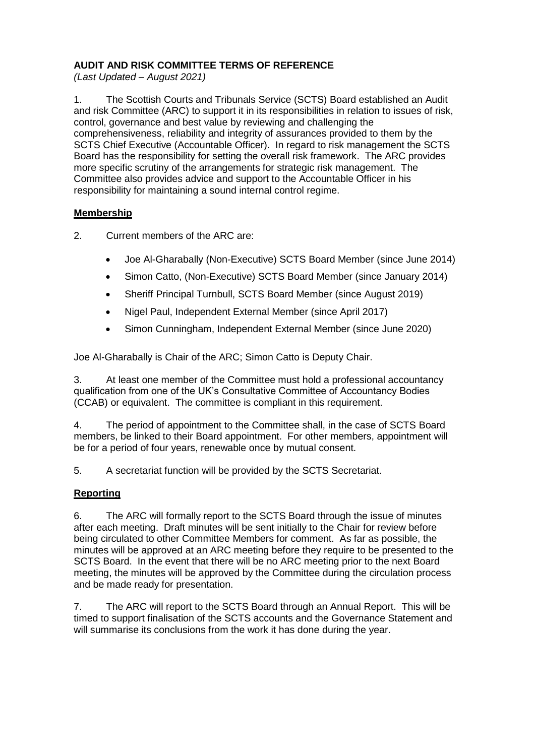## **AUDIT AND RISK COMMITTEE TERMS OF REFERENCE**

*(Last Updated – August 2021)*

1. The Scottish Courts and Tribunals Service (SCTS) Board established an Audit and risk Committee (ARC) to support it in its responsibilities in relation to issues of risk, control, governance and best value by reviewing and challenging the comprehensiveness, reliability and integrity of assurances provided to them by the SCTS Chief Executive (Accountable Officer). In regard to risk management the SCTS Board has the responsibility for setting the overall risk framework. The ARC provides more specific scrutiny of the arrangements for strategic risk management. The Committee also provides advice and support to the Accountable Officer in his responsibility for maintaining a sound internal control regime.

### **Membership**

- 2. Current members of the ARC are:
	- Joe Al-Gharabally (Non-Executive) SCTS Board Member (since June 2014)
	- Simon Catto, (Non-Executive) SCTS Board Member (since January 2014)
	- Sheriff Principal Turnbull, SCTS Board Member (since August 2019)
	- Nigel Paul, Independent External Member (since April 2017)
	- Simon Cunningham, Independent External Member (since June 2020)

Joe Al-Gharabally is Chair of the ARC; Simon Catto is Deputy Chair.

3. At least one member of the Committee must hold a professional accountancy qualification from one of the UK's Consultative Committee of Accountancy Bodies (CCAB) or equivalent. The committee is compliant in this requirement.

4. The period of appointment to the Committee shall, in the case of SCTS Board members, be linked to their Board appointment. For other members, appointment will be for a period of four years, renewable once by mutual consent.

5. A secretariat function will be provided by the SCTS Secretariat.

# **Reporting**

6. The ARC will formally report to the SCTS Board through the issue of minutes after each meeting. Draft minutes will be sent initially to the Chair for review before being circulated to other Committee Members for comment. As far as possible, the minutes will be approved at an ARC meeting before they require to be presented to the SCTS Board. In the event that there will be no ARC meeting prior to the next Board meeting, the minutes will be approved by the Committee during the circulation process and be made ready for presentation.

7. The ARC will report to the SCTS Board through an Annual Report. This will be timed to support finalisation of the SCTS accounts and the Governance Statement and will summarise its conclusions from the work it has done during the year.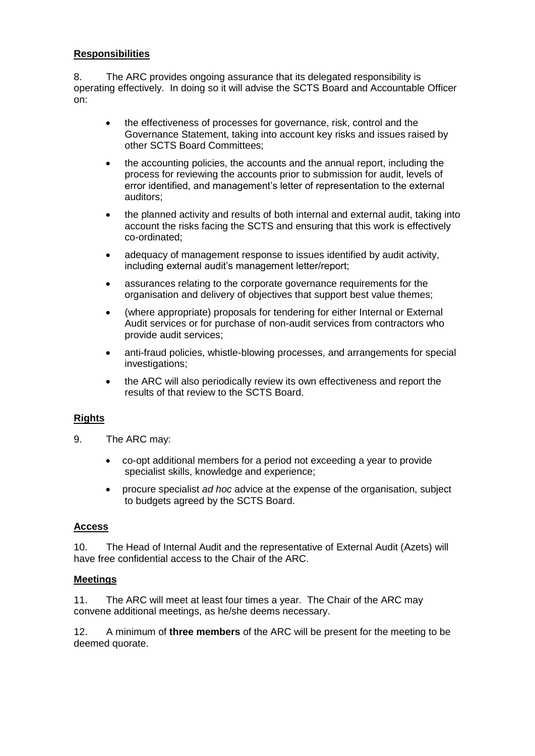#### **Responsibilities**

8. The ARC provides ongoing assurance that its delegated responsibility is operating effectively. In doing so it will advise the SCTS Board and Accountable Officer on:

- the effectiveness of processes for governance, risk, control and the Governance Statement, taking into account key risks and issues raised by other SCTS Board Committees;
- the accounting policies, the accounts and the annual report, including the process for reviewing the accounts prior to submission for audit, levels of error identified, and management's letter of representation to the external auditors;
- the planned activity and results of both internal and external audit, taking into account the risks facing the SCTS and ensuring that this work is effectively co-ordinated;
- adequacy of management response to issues identified by audit activity, including external audit's management letter/report;
- assurances relating to the corporate governance requirements for the organisation and delivery of objectives that support best value themes;
- (where appropriate) proposals for tendering for either Internal or External Audit services or for purchase of non-audit services from contractors who provide audit services;
- anti-fraud policies, whistle-blowing processes, and arrangements for special investigations;
- the ARC will also periodically review its own effectiveness and report the results of that review to the SCTS Board.

### **Rights**

- 9. The ARC may:
	- co-opt additional members for a period not exceeding a year to provide specialist skills, knowledge and experience;
	- procure specialist *ad hoc* advice at the expense of the organisation, subject to budgets agreed by the SCTS Board.

#### **Access**

10. The Head of Internal Audit and the representative of External Audit (Azets) will have free confidential access to the Chair of the ARC.

#### **Meetings**

11. The ARC will meet at least four times a year. The Chair of the ARC may convene additional meetings, as he/she deems necessary.

12. A minimum of **three members** of the ARC will be present for the meeting to be deemed quorate.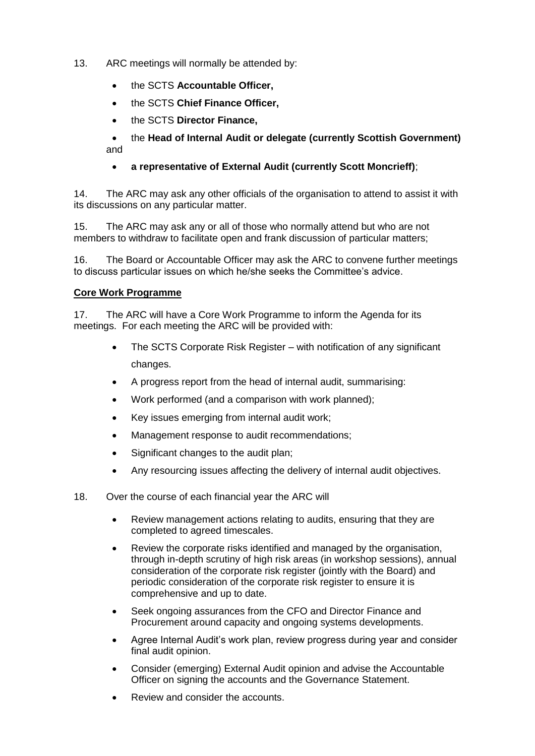- 13. ARC meetings will normally be attended by:
	- the SCTS **Accountable Officer,**
	- the SCTS **Chief Finance Officer,**
	- the SCTS **Director Finance,**

 the **Head of Internal Audit or delegate (currently Scottish Government)**  and

### **a representative of External Audit (currently Scott Moncrieff)**;

14. The ARC may ask any other officials of the organisation to attend to assist it with its discussions on any particular matter.

15. The ARC may ask any or all of those who normally attend but who are not members to withdraw to facilitate open and frank discussion of particular matters;

16. The Board or Accountable Officer may ask the ARC to convene further meetings to discuss particular issues on which he/she seeks the Committee's advice.

#### **Core Work Programme**

17. The ARC will have a Core Work Programme to inform the Agenda for its meetings. For each meeting the ARC will be provided with:

- The SCTS Corporate Risk Register with notification of any significant changes.
- A progress report from the head of internal audit, summarising:
- Work performed (and a comparison with work planned);
- Key issues emerging from internal audit work;
- Management response to audit recommendations;
- Significant changes to the audit plan;
- Any resourcing issues affecting the delivery of internal audit objectives.
- 18. Over the course of each financial year the ARC will
	- Review management actions relating to audits, ensuring that they are completed to agreed timescales.
	- Review the corporate risks identified and managed by the organisation, through in-depth scrutiny of high risk areas (in workshop sessions), annual consideration of the corporate risk register (jointly with the Board) and periodic consideration of the corporate risk register to ensure it is comprehensive and up to date.
	- Seek ongoing assurances from the CFO and Director Finance and Procurement around capacity and ongoing systems developments.
	- Agree Internal Audit's work plan, review progress during year and consider final audit opinion.
	- Consider (emerging) External Audit opinion and advise the Accountable Officer on signing the accounts and the Governance Statement.
	- Review and consider the accounts.